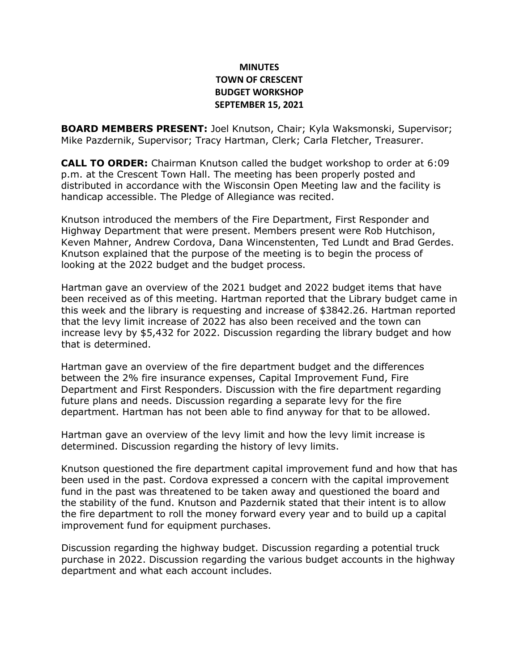## **MINUTES TOWN OF CRESCENT BUDGET WORKSHOP SEPTEMBER 15, 2021**

**BOARD MEMBERS PRESENT:** Joel Knutson, Chair; Kyla Waksmonski, Supervisor; Mike Pazdernik, Supervisor; Tracy Hartman, Clerk; Carla Fletcher, Treasurer.

**CALL TO ORDER:** Chairman Knutson called the budget workshop to order at 6:09 p.m. at the Crescent Town Hall. The meeting has been properly posted and distributed in accordance with the Wisconsin Open Meeting law and the facility is handicap accessible. The Pledge of Allegiance was recited.

Knutson introduced the members of the Fire Department, First Responder and Highway Department that were present. Members present were Rob Hutchison, Keven Mahner, Andrew Cordova, Dana Wincenstenten, Ted Lundt and Brad Gerdes. Knutson explained that the purpose of the meeting is to begin the process of looking at the 2022 budget and the budget process.

Hartman gave an overview of the 2021 budget and 2022 budget items that have been received as of this meeting. Hartman reported that the Library budget came in this week and the library is requesting and increase of \$3842.26. Hartman reported that the levy limit increase of 2022 has also been received and the town can increase levy by \$5,432 for 2022. Discussion regarding the library budget and how that is determined.

Hartman gave an overview of the fire department budget and the differences between the 2% fire insurance expenses, Capital Improvement Fund, Fire Department and First Responders. Discussion with the fire department regarding future plans and needs. Discussion regarding a separate levy for the fire department. Hartman has not been able to find anyway for that to be allowed.

Hartman gave an overview of the levy limit and how the levy limit increase is determined. Discussion regarding the history of levy limits.

Knutson questioned the fire department capital improvement fund and how that has been used in the past. Cordova expressed a concern with the capital improvement fund in the past was threatened to be taken away and questioned the board and the stability of the fund. Knutson and Pazdernik stated that their intent is to allow the fire department to roll the money forward every year and to build up a capital improvement fund for equipment purchases.

Discussion regarding the highway budget. Discussion regarding a potential truck purchase in 2022. Discussion regarding the various budget accounts in the highway department and what each account includes.